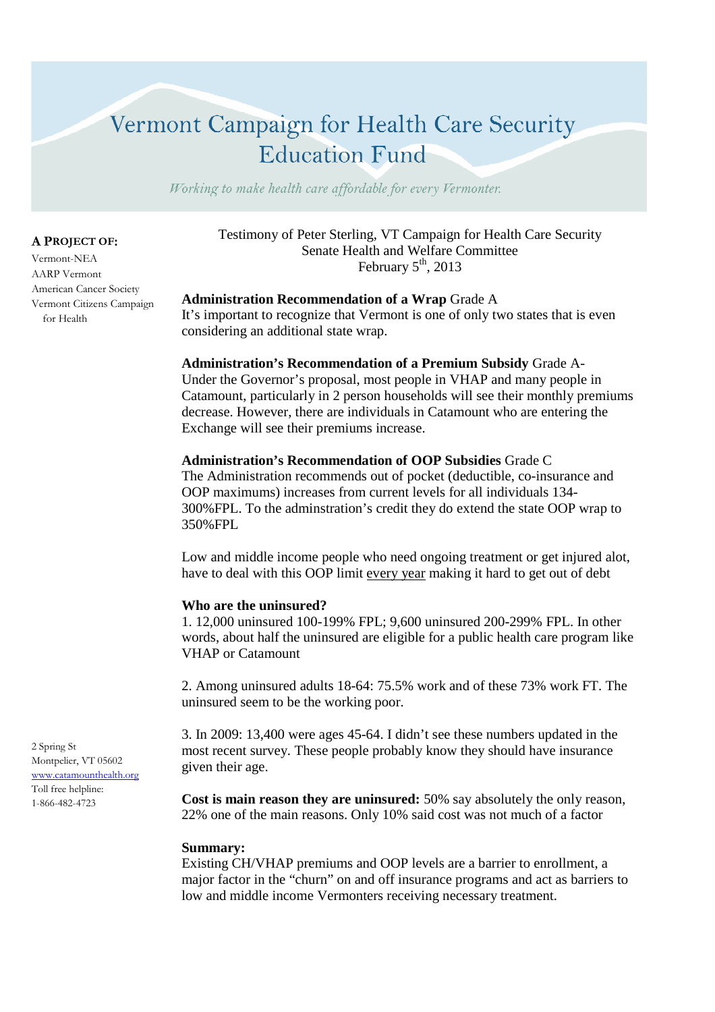# Vermont Campaign for Health Care Security **Education Fund**

Working to make health care affordable for every Vermonter.

## **A PROJECT OF:**

Vermont-NEA AARP Vermont American Cancer Society Vermont Citizens Campaign for Health

Testimony of Peter Sterling, VT Campaign for Health Care Security Senate Health and Welfare Committee February  $5<sup>th</sup>$ , 2013

#### **Administration Recommendation of a Wrap** Grade A

It's important to recognize that Vermont is one of only two states that is even considering an additional state wrap.

**Administration's Recommendation of a Premium Subsidy** Grade A-Under the Governor's proposal, most people in VHAP and many people in Catamount, particularly in 2 person households will see their monthly premiums decrease. However, there are individuals in Catamount who are entering the Exchange will see their premiums increase.

## **Administration's Recommendation of OOP Subsidies** Grade C

The Administration recommends out of pocket (deductible, co-insurance and OOP maximums) increases from current levels for all individuals 134- 300%FPL. To the adminstration's credit they do extend the state OOP wrap to 350%FPL

Low and middle income people who need ongoing treatment or get injured alot, have to deal with this OOP limit every year making it hard to get out of debt

#### **Who are the uninsured?**

1. 12,000 uninsured 100-199% FPL; 9,600 uninsured 200-299% FPL. In other words, about half the uninsured are eligible for a public health care program like VHAP or Catamount

2. Among uninsured adults 18-64: 75.5% work and of these 73% work FT. The uninsured seem to be the working poor.

3. In 2009: 13,400 were ages 45-64. I didn't see these numbers updated in the most recent survey. These people probably know they should have insurance given their age.

**Cost is main reason they are uninsured:** 50% say absolutely the only reason, 22% one of the main reasons. Only 10% said cost was not much of a factor

## **Summary:**

Existing CH/VHAP premiums and OOP levels are a barrier to enrollment, a major factor in the "churn" on and off insurance programs and act as barriers to low and middle income Vermonters receiving necessary treatment.

2 Spring St Montpelier, VT 05602 www.catamounthealth.org Toll free helpline: 1-866-482-4723